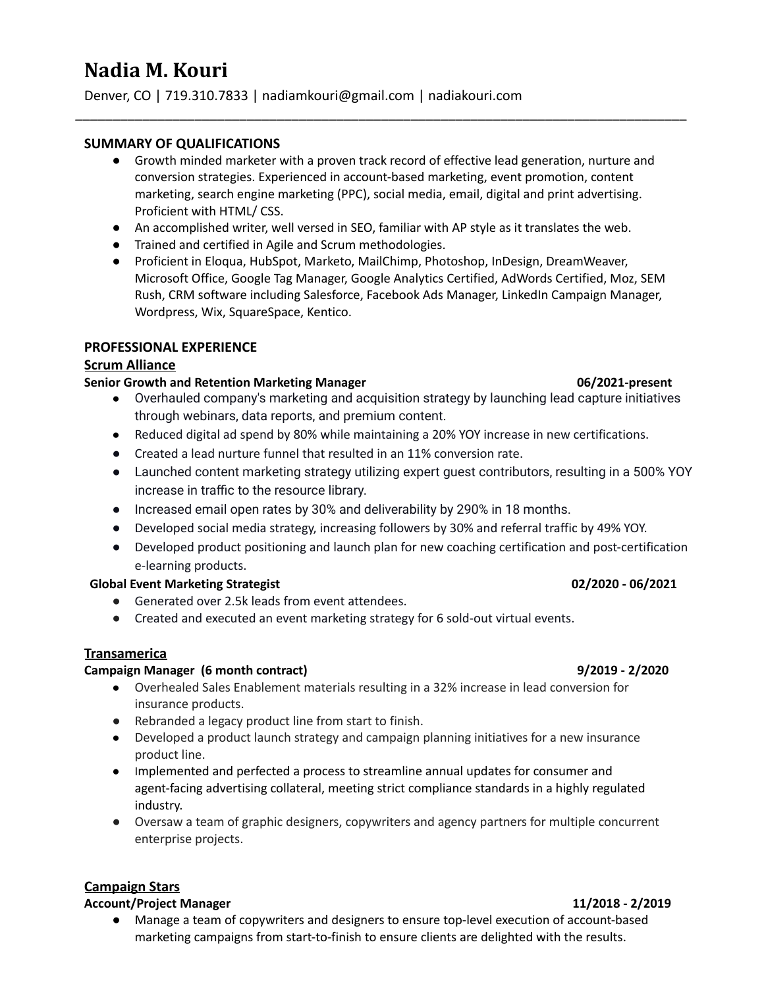# **Nadia M. Kouri**

Denver, CO | 719.310.7833 | nadiamkouri@gmail.com | nadiakouri.com

# **SUMMARY OF QUALIFICATIONS**

● Growth minded marketer with a proven track record of effective lead generation, nurture and conversion strategies. Experienced in account-based marketing, event promotion, content marketing, search engine marketing (PPC), social media, email, digital and print advertising. Proficient with HTML/ CSS.

\_\_\_\_\_\_\_\_\_\_\_\_\_\_\_\_\_\_\_\_\_\_\_\_\_\_\_\_\_\_\_\_\_\_\_\_\_\_\_\_\_\_\_\_\_\_\_\_\_\_\_\_\_\_\_\_\_\_\_\_\_\_\_\_\_\_\_\_\_\_\_\_\_\_\_\_\_\_\_\_\_\_

- An accomplished writer, well versed in SEO, familiar with AP style as it translates the web.
- Trained and certified in Agile and Scrum methodologies.
- Proficient in Eloqua, HubSpot, Marketo, MailChimp, Photoshop, InDesign, DreamWeaver, Microsoft Office, Google Tag Manager, Google Analytics Certified, AdWords Certified, Moz, SEM Rush, CRM software including Salesforce, Facebook Ads Manager, LinkedIn Campaign Manager, Wordpress, Wix, SquareSpace, Kentico.

# **PROFESSIONAL EXPERIENCE**

# **Scrum Alliance**

## **Senior Growth and Retention Marketing Manager 06/2021-present**

- Overhauled company's marketing and acquisition strategy by launching lead capture initiatives through webinars, data reports, and premium content.
- Reduced digital ad spend by 80% while maintaining a 20% YOY increase in new certifications.
- Created a lead nurture funnel that resulted in an 11% conversion rate.
- Launched content marketing strategy utilizing expert guest contributors, resulting in a 500% YOY increase in traffic to the resource library.
- Increased email open rates by 30% and deliverability by 290% in 18 months.
- Developed social media strategy, increasing followers by 30% and referral traffic by 49% YOY.
- Developed product positioning and launch plan for new coaching certification and post-certification e-learning products.

# **Global Event Marketing Strategist 02/2020 - 06/2021**

- Generated over 2.5k leads from event attendees.
- Created and executed an event marketing strategy for 6 sold-out virtual events.

# **Transamerica**

# **Campaign Manager (6 month contract) 9/2019 - 2/2020**

- Overhealed Sales Enablement materials resulting in a 32% increase in lead conversion for insurance products.
- Rebranded a legacy product line from start to finish.
- Developed a product launch strategy and campaign planning initiatives for a new insurance product line.
- Implemented and perfected a process to streamline annual updates for consumer and agent-facing advertising collateral, meeting strict compliance standards in a highly regulated industry.
- Oversaw a team of graphic designers, copywriters and agency partners for multiple concurrent enterprise projects.

# **Campaign Stars**

# **Account/Project Manager 11/2018 - 2/2019**

● Manage a team of copywriters and designers to ensure top-level execution of account-based marketing campaigns from start-to-finish to ensure clients are delighted with the results.